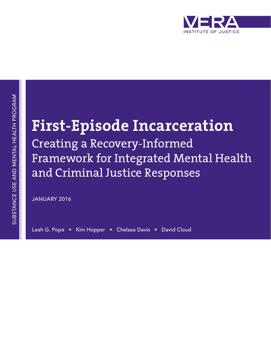

# **First-Episode Incarceration**

Creating a Recovery-Informed Framework for Integrated Mental Health and Criminal Justice Responses

JANUARY 2016

Leah G. Pope • Kim Hopper • Chelsea Davis • David Cloud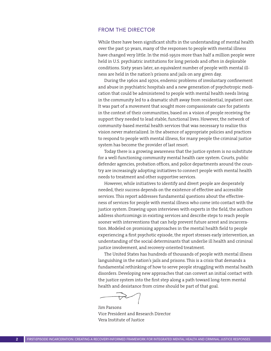#### FROM THE DIRECTOR

While there have been significant shifts in the understanding of mental health over the past 50 years, many of the responses to people with mental illness have changed very little. In the mid-1950s more than half a million people were held in U.S. psychiatric institutions for long periods and often in deplorable conditions. Sixty years later, an equivalent number of people with mental illness are held in the nation's prisons and jails on any given day.

During the 1960s and 1970s, endemic problems of involuntary confinement and abuse in psychiatric hospitals and a new generation of psychotropic medication that could be administered to people with mental health needs living in the community led to a dramatic shift away from residential, inpatient care. It was part of a movement that sought more compassionate care for patients in the context of their communities, based on a vision of people receiving the support they needed to lead stable, functional lives. However, the network of community-based mental health services that was necessary to realize this vision never materialized. In the absence of appropriate policies and practices to respond to people with mental illness, for many people the criminal justice system has become the provider of last resort.

Today there is a growing awareness that the justice system is no substitute for a well-functioning community mental health care system. Courts, public defender agencies, probation offices, and police departments around the country are increasingly adopting initiatives to connect people with mental health needs to treatment and other supportive services.

However, while initiatives to identify and divert people are desperately needed, their success depends on the existence of effective and accessible services. This report addresses fundamental questions about the effectiveness of services for people with mental illness who come into contact with the justice system. Drawing upon interviews with experts in the field, the authors address shortcomings in existing services and describe steps to reach people sooner with interventions that can help prevent future arrest and incarceration. Modeled on promising approaches in the mental health field to people experiencing a first psychotic episode, the report stresses early intervention, an understanding of the social determinants that underlie ill health and criminal justice involvement, and recovery-oriented treatment.

The United States has hundreds of thousands of people with mental illness languishing in the nation's jails and prisons. This is a crisis that demands a fundamental rethinking of how to serve people struggling with mental health disorders. Developing new approaches that can convert an initial contact with the justice system into the first step along a path toward long-term mental health and desistance from crime should be part of that goal.

Jim Parsons Vice President and Research Director Vera Institute of Justice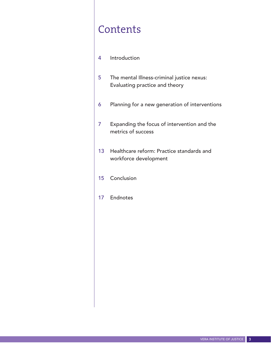# **Contents**

- 4 Introduction
- 5 The mental Illness-criminal justice nexus: Evaluating practice and theory
- 6 Planning for a new generation of interventions
- 7 Expanding the focus of intervention and the metrics of success
- 13 Healthcare reform: Practice standards and workforce development
- 15 Conclusion
- 17 Endnotes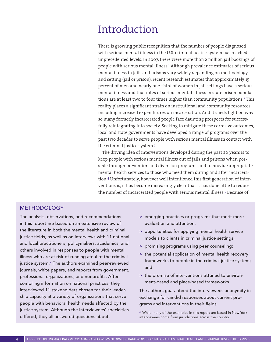### Introduction

There is growing public recognition that the number of people diagnosed with serious mental illness in the U.S. criminal justice system has reached unprecedented levels. In 2007, there were more than 2 million jail bookings of people with serious mental illness.<sup>1</sup> Although prevalence estimates of serious mental illness in jails and prisons vary widely depending on methodology and setting (jail or prison), recent research estimates that approximately 15 percent of men and nearly one-third of women in jail settings have a serious mental illness and that rates of serious mental illness in state prison populations are at least two to four times higher than community populations.<sup>2</sup> This reality places a significant strain on institutional and community resources, including increased expenditures on incarceration. And it sheds light on why so many formerly incarcerated people face daunting prospects for successfully reintegrating into society. Seeking to mitigate these corrosive outcomes, local and state governments have developed a range of programs over the past two decades to serve people with serious mental illness in contact with the criminal justice system.<sup>3</sup>

The driving idea of interventions developed during the past 20 years is to keep people with serious mental illness out of jails and prisons when possible through prevention and diversion programs and to provide appropriate mental health services to those who need them during and after incarceration.4 Unfortunately, however well intentioned this first generation of interventions is, it has become increasingly clear that it has done little to reduce the number of incarcerated people with serious mental illness.<sup>5</sup> Because of

#### METHODOLOGY

The analysis, observations, and recommendations in this report are based on an extensive review of the literature in both the mental health and criminal justice fields, as well as on interviews with 11 national and local practitioners, policymakers, academics, and others involved in responses to people with mental illness who are at risk of running afoul of the criminal justice system.<sup>a</sup> The authors examined peer-reviewed journals, white papers, and reports from government, professional organizations, and nonprofits. After compiling information on national practices, they interviewed 11 stakeholders chosen for their leadership capacity at a variety of organizations that serve people with behavioral health needs affected by the justice system. Although the interviewees' specialties differed, they all answered questions about:

- > emerging practices or programs that merit more evaluation and attention;
- > opportunities for applying mental health service models to clients in criminal justice settings;
- > promising programs using peer counseling;
- > the potential application of mental health recovery frameworks to people in the criminal justice system; and
- > the promise of interventions attuned to environment-based and place-based frameworks.

The authors guaranteed the interviewees anonymity in exchange for candid responses about current programs and interventions in their fields.

a While many of the examples in this report are based in New York, interviewees come from jurisdictions across the country.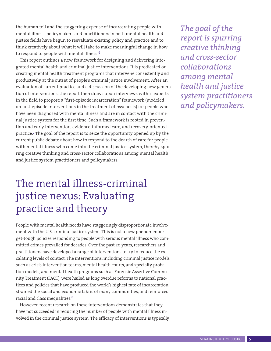the human toll and the staggering expense of incarcerating people with mental illness, policymakers and practitioners in both mental health and justice fields have begun to reevaluate existing policy and practice and to think creatively about what it will take to make meaningful change in how to respond to people with mental illness.<sup>6</sup>

This report outlines a new framework for designing and delivering integrated mental health and criminal justice interventions. It is predicated on creating mental health treatment programs that intervene consistently and productively at the outset of people's criminal justice involvement. After an evaluation of current practice and a discussion of the developing new generation of interventions, the report then draws upon interviews with 11 experts in the field to propose a "first-episode incarceration" framework (modeled on first-episode interventions in the treatment of psychosis) for people who have been diagnosed with mental illness and are in contact with the criminal justice system for the first time. Such a framework is rooted in prevention and early intervention, evidence-informed care, and recovery-oriented practice.7 The goal of the report is to seize the opportunity opened up by the current public debate about how to respond to the dearth of care for people with mental illness who come into the criminal justice system, thereby spurring creative thinking and cross-sector collaborations among mental health and justice system practitioners and policymakers.

## The mental illness-criminal justice nexus: Evaluating practice and theory

People with mental health needs have staggeringly disproportionate involvement with the U.S. criminal justice system. This is not a new phenomenon; get-tough policies responding to people with serious mental illness who committed crimes prevailed for decades. Over the past 20 years, researchers and practitioners have developed a range of interventions to try to reduce the escalating levels of contact. The interventions, including criminal justice models such as crisis intervention teams, mental health courts, and specialty probation models, and mental health programs such as Forensic Assertive Community Treatment (FACT), were hailed as long overdue reforms to national practices and policies that have produced the world's highest rate of incarceration, strained the social and economic fabric of many communities, and reinforced racial and class inequalities.8

However, recent research on these interventions demonstrates that they have not succeeded in reducing the number of people with mental illness involved in the criminal justice system. The efficacy of interventions is typically *The goal of the report is spurring creative thinking and cross-sector collaborations among mental health and justice system practitioners and policymakers.*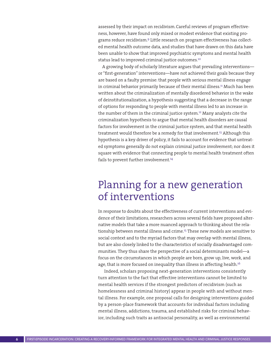assessed by their impact on recidivism.Careful reviews of program effectiveness, however, have found only mixed or modest evidence that existing programs reduce recidivism.9 Little research on program effectiveness has collected mental health outcome data, and studies that have drawn on this data have been unable to show that improved psychiatric symptoms and mental health status lead to improved criminal justice outcomes.<sup>10</sup>

A growing body of scholarly literature argues that prevailing interventions or "first-generation" interventions—have not achieved their goals because they are based on a faulty premise: that people with serious mental illness engage in criminal behavior primarily because of their mental illness.<sup>11</sup> Much has been written about the criminalization of mentally disordered behavior in the wake of deinstitutionalization, a hypothesis suggesting that a decrease in the range of options for responding to people with mental illness led to an increase in the number of them in the criminal justice system.<sup>12</sup> Many analysts cite the criminalization hypothesis to argue that mental health disorders are causal factors for involvement in the criminal justice system, and that mental health treatment would therefore be a remedy for that involvement.<sup>13</sup> Although this hypothesis is a key driver of policy, it fails to account for evidence that untreated symptoms generally do not explain criminal justice involvement; nor does it square with evidence that connecting people to mental health treatment often fails to prevent further involvement.<sup>14</sup>

### Planning for a new generation of interventions

In response to doubts about the effectiveness of current interventions and evidence of their limitations, researchers across several fields have proposed alternative models that take a more nuanced approach to thinking about the relationship between mental illness and crime.15 These new models are sensitive to social context and to the myriad factors that may overlap with mental illness, but are also closely linked to the characteristics of socially disadvantaged communities. They thus share the perspective of a social determinants model—a focus on the circumstances in which people are born, grow up, live, work, and age, that is more focused on inequality than illness in affecting health.<sup>16</sup>

Indeed, scholars proposing next-generation interventions consistently turn attention to the fact that effective interventions cannot be limited to mental health services if the strongest predictors of recidivism (such as homelessness and criminal history) appear in people with and without mental illness. For example, one proposal calls for designing interventions guided by a person-place framework that accounts for individual factors including mental illness, addictions, trauma, and established risks for criminal behavior, including such traits as antisocial personality, as well as environmental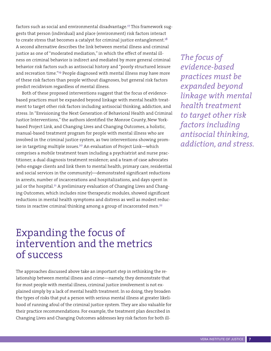factors such as social and environmental disadvantage.<sup>17</sup> This framework suggests that person (individual) and place (environment) risk factors interact to create stress that becomes a catalyst for criminal justice entanglement.<sup>18</sup> A second alternative describes the link between mental illness and criminal justice as one of "moderated mediation," in which the effect of mental illness on criminal behavior is indirect and mediated by more general criminal behavior risk factors such as antisocial history and "poorly structured leisure and recreation time."19 People diagnosed with mental illness may have more of these risk factors than people without diagnoses, but general risk factors predict recidivism regardless of mental illness.

Both of these proposed interventions suggest that the focus of evidencebased practices must be expanded beyond linkage with mental health treatment to target other risk factors including antisocial thinking, addiction, and stress. In "Envisioning the Next Generation of Behavioral Health and Criminal Justice Interventions," the authors identified the Monroe County, New Yorkbased Project Link, and Changing Lives and Changing Outcomes, a holistic, manual-based treatment program for people with mental illness who are involved in the criminal justice system, as two interventions showing promise in targeting multiple issues.<sup>20</sup> An evaluation of Project Link—which comprises a mobile treatment team including a psychiatrist and nurse practitioner; a dual diagnosis treatment residence; and a team of case advocates (who engage clients and link them to mental health, primary care, residential and social services in the community)—demonstrated significant reductions in arrests, number of incarcerations and hospitalizations, and days spent in jail or the hospital.<sup>21</sup> A preliminary evaluation of Changing Lives and Changing Outcomes, which includes nine therapeutic modules, showed significant reductions in mental health symptoms and distress as well as modest reductions in reactive criminal thinking among a group of incarcerated men.<sup>22</sup>

### Expanding the focus of intervention and the metrics of success

The approaches discussed above take an important step in rethinking the relationship between mental illness and crime—namely, they demonstrate that for most people with mental illness, criminal justice involvement is not explained simply by a lack of mental health treatment. In so doing, they broaden the types of risks that put a person with serious mental illness at greater likelihood of running afoul of the criminal justice system. They are also valuable for their practice recommendations. For example, the treatment plan described in Changing Lives and Changing Outcomes addresses key risk factors for both ill-

*The focus of evidence-based practices must be expanded beyond linkage with mental health treatment to target other risk factors including antisocial thinking, addiction, and stress.*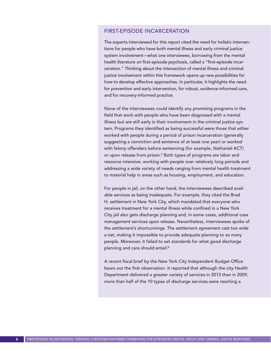#### FIRST-EPISODE INCARCERATION

The experts interviewed for this report cited the need for holistic interventions for people who have both mental illness and early criminal justice system involvement—what one interviewee, borrowing from the mental health literature on first-episode psychosis, called a "first-episode incarceration." Thinking about the intersection of mental illness and criminal justice involvement within this framework opens up new possibilities for how to develop effective approaches. In particular, it highlights the need for prevention and early intervention, for robust, evidence-informed care, and for recovery-informed practice.

None of the interviewees could identify any promising programs in the field that work with people who have been diagnosed with a mental illness but are still early in their involvement in the criminal justice system. Programs they identified as being successful were those that either worked with people during a period of prison incarceration (generally suggesting a conviction and sentence of at least one year) or worked with felony offenders before sentencing (for example, Nathaniel ACT) or upon release from prison.<sup>a</sup> Both types of programs are labor and resource intensive, working with people over relatively long periods and addressing a wide variety of needs ranging from mental health treatment to material help in areas such as housing, employment, and education.

For people in jail, on the other hand, the interviewees described available services as being inadequate. For example, they cited the Brad H. settlement in New York City, which mandated that everyone who receives treatment for a mental illness while confined in a New York City jail also gets discharge planning and, in some cases, additional case management services upon release. Nevertheless, interviewees spoke of the settlement's shortcomings. The settlement agreement cast too wide a net, making it impossible to provide adequate planning to so many people. Moreover, it failed to set standards for what good discharge planning and care should entail.<sup>b</sup>

A recent fiscal brief by the New York City Independent Budget Office bears out the first observation. It reported that although the city Health Department delivered a greater variety of services in 2013 than in 2009, more than half of the 10 types of discharge services were reaching a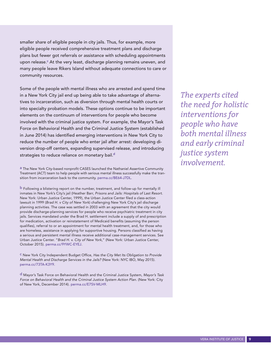smaller share of eligible people in city jails. Thus, for example, more eligible people received comprehensive treatment plans and discharge plans but fewer got referrals or assistance with scheduling appointments upon release.<sup>c</sup> At the very least, discharge planning remains uneven, and many people leave Rikers Island without adequate connections to care or community resources.

Some of the people with mental illness who are arrested and spend time in a New York City jail end up being able to take advantage of alternatives to incarceration, such as diversion through mental health courts or into specialty probation models. These options continue to be important elements on the continuum of interventions for people who become involved with the criminal justice system. For example, the Mayor's Task Force on Behavioral Health and the Criminal Justice System (established in June 2014) has identified emerging interventions in New York City to reduce the number of people who enter jail after arrest: developing diversion drop-off centers, expanding supervised release, and introducing strategies to reduce reliance on monetary bail.<sup>d</sup>

a The New York City-based nonprofit CASES launched the Nathaniel Assertive Community Treatment (ACT) team to help people with serious mental illness successfully make the transition from incarceration back to the community. [perma.cc/BE64-J7DL.](http://perma.cc/BE64-J7DL)

b Following a blistering report on the number, treatment, and follow-up for mentally ill inmates in New York's City's jail (Heather Barr, Prisons and Jails: Hospitals of Last Resort. New York: Urban Justice Center, 1999), the Urban Justice Center filed a class-action lawsuit in 1999 (Brad H. v City of New York) challenging New York City's jail discharge planning activities. The case was settled in 2003 with an agreement that the city would provide discharge-planning services for people who receive psychiatric treatment in city jails. Services mandated under the Brad H. settlement include a supply of and prescription for medication, activation or reinstatement of Medicaid benefits (assuming the person qualifies), referral to or an appointment for mental health treatment, and, for those who are homeless, assistance in applying for supportive housing. Persons classified as having a serious and persistent mental illness receive additional case-management services. See Urban Justice Center. "Brad H. v. City of New York," (New York: Urban Justice Center, October 2015). [perma.cc/9YWC-EYEJ.](http://perma.cc/73TA-K3Y9)

c New York City Independent Budget Office, Has the City Met Its Obligation to Provide Mental Health and Discharge Services in the Jails? (New York: NYC IBO, May 2015). [perma.cc/73TA-K3Y9](http://perma.cc/73TA-K3Y9).

d Mayor's Task Force on Behavioral Health and the Criminal Justice System, Mayor's Task Force on Behavioral Health and the Criminal Justice System Action Plan. (New York: City of New York, December 2014). [perma.cc/E7SV-MLH9.](http://perma.cc/73TA-K3Y9)

*The experts cited the need for holistic interventions for people who have both mental illness and early criminal justice system involvement.*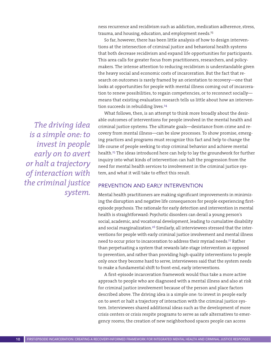ness recurrence and recidivism such as addiction, medication adherence, stress, trauma, and housing, education, and employment needs.<sup>23</sup>

So far, however, there has been little analysis of how to design interventions at the intersection of criminal justice and behavioral health systems that both decrease recidivism and expand life opportunities for participants. This area calls for greater focus from practitioners, researchers, and policymakers. The intense attention to reducing recidivism is understandable given the heavy social and economic costs of incarceration. But the fact that research on outcomes is rarely framed by an orientation to recovery—one that looks at opportunities for people with mental illness coming out of incarceration to renew possibilities, to regain competencies, or to reconnect socially means that existing evaluation research tells us little about how an intervention succeeds in rebuilding lives.<sup>24</sup>

What follows, then, is an attempt to think more broadly about the desirable outcomes of interventions for people involved in the mental health and criminal justice systems. The ultimate goals—desistance from crime and recovery from mental illness—can be slow processes. To show promise, emerging practices and programs must recognize this fact and help to change the life course of people seeking to stop criminal behavior and achieve mental health.25 The ideas introduced here can help to lay the groundwork for further inquiry into what kinds of intervention can halt the progression from the need for mental health services to involvement in the criminal justice system, and what it will take to effect this result.

#### PREVENTION AND EARLY INTERVENTION

Mental health practitioners are making significant improvements in minimizing the disruption and negative life consequences for people experiencing firstepisode psychosis. The rationale for early detection and intervention in mental health is straightforward: Psychotic disorders can derail a young person's social, academic, and vocational development, leading to cumulative disability and social marginalization.<sup>26</sup> Similarly, all interviewees stressed that the interventions for people with early criminal justice involvement and mental illness need to occur prior to incarceration to address their myriad needs.<sup>27</sup> Rather than perpetuating a system that rewards late-stage intervention as opposed to prevention, and rather than providing high-quality interventions to people only once they become hard to serve, interviewees said that the system needs to make a fundamental shift to front-end, early interventions.

A first-episode incarceration framework would thus take a more active approach to people who are diagnosed with a mental illness and also at risk for criminal justice involvement because of the person and place factors described above. The driving idea is a simple one: to invest in people early on to avert or halt a trajectory of interaction with the criminal justice system. Interviewees shared additional ideas such as the development of more crisis centers or crisis respite programs to serve as safe alternatives to emergency rooms; the creation of new neighborhood spaces people can access

*The driving idea is a simple one: to invest in people early on to avert or halt a trajectory of interaction with the criminal justice system.*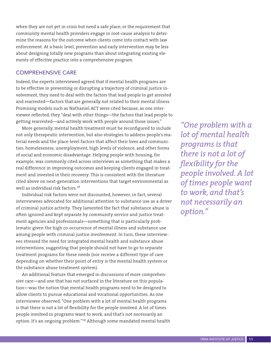when they are not yet in crisis but need a safe place; or the requirement that community mental health providers engage in root-cause analysis to determine the reasons for the outcome when clients come into contact with law enforcement. At a basic level, prevention and early intervention may be less about designing totally new programs than about integrating existing elements of effective practice into a comprehensive program.

#### COMPREHENSIVE CARE

Indeed, the experts interviewed agreed that if mental health programs are to be effective in preventing or disrupting a trajectory of criminal justice involvement, they need to deal with the factors that lead people to get arrested and rearrested—factors that are generally not related to their mental illness. Promising models such as Nathaniel ACT were cited because, as one interviewee reflected, they "deal with other things—the factors that lead people to getting rearrested—and actively work with people around those issues."

More generally, mental health treatment must be reconfigured to include not only therapeutic intervention, but also strategies to address people's material needs and the place-level factors that affect their lives and communities: homelessness, unemployment, high levels of violence, and other forms of social and economic disadvantage. Helping people with housing, for example, was commonly cited across interviews as something that makes a real difference in improving outcomes and keeping clients engaged in treatment and invested in their recovery. This is consistent with the literature cited above on next-generation interventions that target environmental as well as individual risk factors.<sup>28</sup>

Individual risk factors were not discounted, however; in fact, several interviewees advocated for additional attention to substance use as a driver of criminal justice activity. They lamented the fact that substance abuse is often ignored and kept separate by community service and justice treatment agencies and professionals—something that is particularly problematic given the high co-occurrence of mental illness and substance use among people with criminal justice involvement. In turn, these interviewees stressed the need for integrated mental health and substance abuse interventions, suggesting that people should not have to go to separate treatment programs for these needs (nor receive a different type of care depending on whether their point of entry is the mental health system or the substance abuse treatment system).

An additional feature that emerged in discussions of more comprehensive care—and one that has not surfaced in the literature on this population—was the notion that mental health programs need to be designed to allow clients to pursue educational and vocational opportunities. As one interviewee observed, "One problem with a lot of mental health programs is that there is not a lot of flexibility for the people involved. A lot of times people involved in programs want to work, and that's not necessarily an option. It's an ongoing problem."29 Although some mandated mental health

*"One problem with a lot of mental health programs is that there is not a lot of flexibility for the people involved. A lot of times people want to work, and that's not necessarily an option."*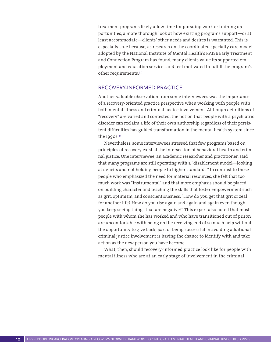treatment programs likely allow time for pursuing work or training opportunities, a more thorough look at how existing programs support—or at least accommodate—clients' other needs and desires is warranted. This is especially true because, as research on the coordinated specialty care model adopted by the National Institute of Mental Health's RAISE Early Treatment and Connection Program has found, many clients value its supported employment and education services and feel motivated to fulfill the program's other requirements.<sup>30</sup>

#### RECOVERY-INFORMED PRACTICE

Another valuable observation from some interviewees was the importance of a recovery-oriented practice perspective when working with people with both mental illness and criminal justice involvement. Although definitions of "recovery" are varied and contested, the notion that people with a psychiatric disorder can reclaim a life of their own authorship regardless of their persistent difficulties has guided transformation in the mental health system since the 1990s. $31$ 

Nevertheless, some interviewees stressed that few programs based on principles of recovery exist at the intersection of behavioral health and criminal justice. One interviewee, an academic researcher and practitioner, said that many programs are still operating with a "disablement model—looking at deficits and not holding people to higher standards." In contrast to those people who emphasized the need for material resources, she felt that too much work was "instrumental" and that more emphasis should be placed on building character and teaching the skills that foster empowerment such as grit, optimism, and conscientiousness. "How do you get that grit or zeal for another life? How do you rise again and again and again even though you keep seeing things that are negative?" This expert also noted that most people with whom she has worked and who have transitioned out of prison are uncomfortable with being on the receiving end of so much help without the opportunity to give back; part of being successful in avoiding additional criminal justice involvement is having the chance to identify with and take action as the new person you have become.

What, then, should recovery-informed practice look like for people with mental illness who are at an early stage of involvement in the criminal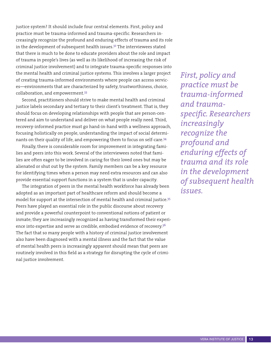justice system? It should include four central elements. First, policy and practice must be trauma-informed and trauma-specific. Researchers increasingly recognize the profound and enduring effects of trauma and its role in the development of subsequent health issues.<sup>32</sup> The interviewees stated that there is much to be done to educate providers about the role and impact of trauma in people's lives (as well as its likelihood of increasing the risk of criminal justice involvement) and to integrate trauma-specific responses into the mental health and criminal justice systems. This involves a larger project of creating trauma-informed environments where people can access services—environments that are characterized by safety, trustworthiness, choice, collaboration, and empowerment.<sup>33</sup>

Second, practitioners should strive to make mental health and criminal justice labels secondary and tertiary to their client's treatment. That is, they should focus on developing relationships with people that are person-centered and aim to understand and deliver on what people really need. Third, recovery-informed practice must go hand-in-hand with a wellness approach, focusing holistically on people, understanding the impact of social determinants on their quality of life, and empowering them to focus on self-care.<sup>34</sup>

Finally, there is considerable room for improvement in integrating families and peers into this work. Several of the interviewees noted that families are often eager to be involved in caring for their loved ones but may be alienated or shut out by the system. Family members can be a key resource for identifying times when a person may need extra resources and can also provide essential support functions in a system that is under capacity.

The integration of peers in the mental health workforce has already been adopted as an important part of healthcare reform and should become a model for support at the intersection of mental health and criminal justice.<sup>35</sup> Peers have played an essential role in the public discourse about recovery and provide a powerful counterpoint to conventional notions of patient or inmate; they are increasingly recognized as having transformed their experience into expertise and serve as credible, embodied evidence of recovery.<sup>36</sup> The fact that so many people with a history of criminal justice involvement also have been diagnosed with a mental illness and the fact that the value of mental health peers is increasingly apparent should mean that peers are routinely involved in this field as a strategy for disrupting the cycle of criminal justice involvement.

*First, policy and practice must be trauma-informed and traumaspecific. Researchers increasingly recognize the profound and enduring effects of trauma and its role in the development of subsequent health issues.*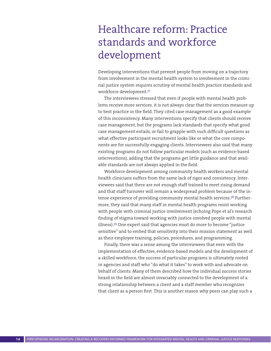# Healthcare reform: Practice standards and workforce development

Developing interventions that prevent people from moving on a trajectory from involvement in the mental health system to involvement in the criminal justice system requires scrutiny of mental health practice standards and workforce development.<sup>37</sup>

The interviewees stressed that even if people with mental health problems receive more services, it is not always clear that the services measure up to best practice in the field. They cited case management as a good example of this inconsistency. Many interventions specify that clients should receive case management, but the programs lack standards that specify what good case management entails, or fail to grapple with such difficult questions as what effective participant recruitment looks like or what the core components are for successfully engaging clients. Interviewees also said that many existing programs do not follow particular models (such as evidence-based interventions), adding that the programs get little guidance and that available standards are not always applied in the field.

Workforce development among community health workers and mental health clinicians suffers from the same lack of rigor and consistency. Interviewees said that there are not enough staff trained to meet rising demand and that staff turnover will remain a widespread problem because of the intense experience of providing community mental health services.<sup>38</sup> Furthermore, they said that many staff in mental health programs resist working with people with criminal justice involvement (echoing Pope et al's research finding of stigma toward working with justice-involved people with mental illness).39 One expert said that agencies must do more to become "justice sensitive" and to embed that sensitivity into their mission statement as well as their employee training, policies, procedures, and programming.

Finally, there was a sense among the interviewees that even with the implementation of effective, evidence-based models and the development of a skilled workforce, the success of particular programs is ultimately rooted in agencies and staff who "do what it takes" to work with and advocate on behalf of clients. Many of them described how the individual success stories heard in the field are almost invariably connected to the development of a strong relationship between a client and a staff member who recognizes that client as a person first. This is another reason why peers can play such a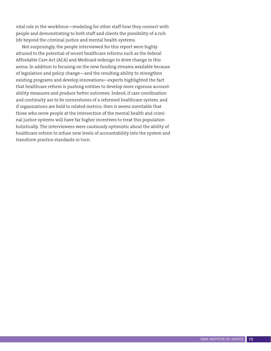vital role in the workforce—modeling for other staff how they connect with people and demonstrating to both staff and clients the possibility of a rich life beyond the criminal justice and mental health systems.

Not surprisingly, the people interviewed for this report were highly attuned to the potential of recent healthcare reforms such as the federal Affordable Care Act (ACA) and Medicaid redesign to drive change in this arena. In addition to focusing on the new funding streams available because of legislation and policy change—and the resulting ability to strengthen existing programs and develop innovations—experts highlighted the fact that healthcare reform is pushing entities to develop more rigorous accountability measures and produce better outcomes. Indeed, if care coordination and continuity are to be cornerstones of a reformed healthcare system, and if organizations are held to related metrics, then it seems inevitable that those who serve people at the intersection of the mental health and criminal justice systems will have far higher incentives to treat this population holistically. The interviewees were cautiously optimistic about the ability of healthcare reform to infuse new levels of accountability into the system and transform practice standards in turn.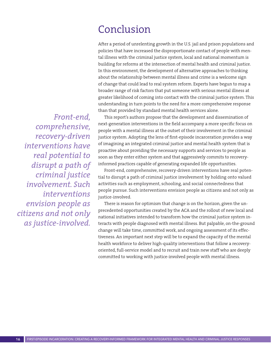### Conclusion

After a period of unrelenting growth in the U.S. jail and prison populations and policies that have increased the disproportionate contact of people with mental illness with the criminal justice system, local and national momentum is building for reforms at the intersection of mental health and criminal justice. In this environment, the development of alternative approaches to thinking about the relationship between mental illness and crime is a welcome sign of change that could lead to real system reform. Experts have begun to map a broader range of risk factors that put someone with serious mental illness at greater likelihood of coming into contact with the criminal justice system. This understanding in turn points to the need for a more comprehensive response than that provided by standard mental health services alone.

This report's authors propose that the development and dissemination of next-generation interventions in the field accompany a more specific focus on people with a mental illness at the outset of their involvement in the criminal justice system. Adopting the lens of first-episode incarceration provides a way of imagining an integrated criminal justice and mental health system that is proactive about providing the necessary supports and services to people as soon as they enter either system and that aggressively commits to recoveryinformed practices capable of generating expanded life opportunities.

Front-end, comprehensive, recovery-driven interventions have real potential to disrupt a path of criminal justice involvement by holding onto valued activities such as employment, schooling, and social connectedness that people pursue. Such interventions envision people as citizens and not only as justice-involved.

There is reason for optimism that change is on the horizon, given the unprecedented opportunities created by the ACA and the rollout of new local and national initiatives intended to transform how the criminal justice system interacts with people diagnosed with mental illness. But palpable, on-the-ground change will take time, committed work, and ongoing assessment of its effectiveness. An important next step will be to expand the capacity of the mental health workforce to deliver high-quality interventions that follow a recoveryoriented, full-service model and to recruit and train new staff who are deeply committed to working with justice-involved people with mental illness.

*Front-end, comprehensive, recovery-driven interventions have real potential to disrupt a path of criminal justice involvement. Such interventions envision people as citizens and not only as justice-involved.*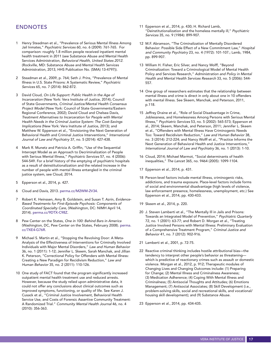#### ENDNOTES

- 1 Henry Steadman et al., "Prevalence of Serious Mental Illness Among Jail Inmates," Psychiatric Services 60, no. 6 (2009): 761-765. For comparison: roughly 1.8 million people received inpatient mental health treatment in 2011 (see Substance Abuse and Mental Health Services Administration, Behavioral Health, United States 2012. (Rockville, MD: Substance Abuse and Mental Health Services Administration, 2013, HHS Publication No. (SMA) 13-4797)).
- 2 Steadman et al., 2009, p. 764; Seth J. Prins, "Prevalence of Mental Illness in U.S. State Prisons: A Systematic Review," Psychiatric Services 65, no. 7 (2014): 862-872.
- 3 David Cloud, On Life Support: Public Health in the Age of Incarceration (New York: Vera Institute of Justice, 2014); Council of State Governments, Criminal Justice/Mental Health Consensus Project Model (New York: Council of State Governments/Eastern Regional Conference, 2002); David Cloud and Chelsea Davis, Treatment Alternatives to Incarceration for People with Mental Health Needs in the Criminal Justice System: The Cost-Savings Implications (New York: Vera Institute of Justice, 2013); and Matthew W. Epperson et al., "Envisioning the Next Generation of Behavioral Health and Criminal Justice Interventions," International Journal of Law and Psychiatry 37, no. 5 (2014): 427-438.
- 4 Mark R. Munetz and Patricia A. Griffin, "Use of the Sequential Intercept Model as an Approach to Decriminalization of People with Serious Mental Illness," Psychiatric Services 57, no. 4 (2006): 544-549. For a brief history of the emptying of psychiatric hospitals as a result of deinstitutionalization and the related increase in the number of people with mental illness entangled in the criminal justice system, see Cloud, 2014.
- 5 Epperson et al., 2014, p. 427.
- 6 Cloud and Davis, 2013. [perma.cc/M2WM-2V34](http://perma.cc/M2WM-2V34).
- 7 Robert K. Heinssen, Amy B. Goldstein, and Susan T. Azrin, Evidence-Based Treatments for First-Episode Psychosis: Components of Coordinated Specialty Care, (Washington, DC: NIMH April 14, 2014). [perma.cc/9DTX-C98Z](http://perma.cc/9DTX-C98Z).
- 8 Pew Center on the States, One in 100: Behind Bars in America (Washington, DC, Pew Center on the States, February 2008). [perma.](http://perma.cc/7XE4-G76R) [cc/7XE4-G76R](http://perma.cc/7XE4-G76R).
- Michael S. Martin et al., "Stopping the Revolving Door: A Meta-Analysis of the Effectiveness of Interventions for Criminally Involved Individuals with Major Mental Disorders," Law and Human Behavior 36, no. 1 (2011): 1-12; Jennifer L. Skeem, Sarah Manchak, and Jillian K. Peterson, "Correctional Policy for Offenders with Mental Illness: Creating a New Paradigm for Recidivism Reduction," Law and Human Behavior 35, no. 2 (2011): 110-126.
- 10 One study of FACT found that the program significantly increased outpatient mental health treatment use and reduced arrests. However, because the study relied upon administrative data, it could not offer any conclusions about clinical outcomes such as improved symptoms, functioning, or quality of life. See Karen J. Cusack et al., "Criminal Justice Involvement, Behavioral Health Service Use, and Costs of Forensic Assertive Community Treatment: A Randomized Trial." Community Mental Health Journal 46, no. 4 (2010): 356-363.
- 11 Epperson et al., 2014, p. 430; H. Richard Lamb, "Deinstitutionalization and the homeless mentally ill," Psychiatric Services 35, no. 9 (1984): 899-907.
- 12 M.F. Abramson, "The Criminalization of Mentally Disordered Behavior: Possible Side Effect of a New Commitment Law," Hospital and Community Psychiatry 23, no. 4 (1972): 101-107.; Lamb, 1984, pp. 899-907.
- 13 William H. Fisher, Eric Silver, and Nancy Wolff, "Beyond Criminalization: Toward a Criminological Model of Mental Health Policy and Services Research," Administration and Policy in Mental Health and Mental Health Services Research 33, no. 5 (2006): 544- 557.
- 14 One group of researchers estimates that the relationship between mental illness and crime is direct in only about one in 10 offenders with mental illness. See Skeem, Manchak, and Peterson, 2011, p.118.
- 15 Jeffrey Draine et al., "Role of Social Disadvantage in Crime, Joblessness, and Homelessness Among Persons with Serious Mental Illness," Psychiatric Services 53, no. 5 (2002): 565-573; Epperson et al., 2014; Skeem, Manchak, and Peterson, 2011; Jennifer L. Skeem et al., "Offenders with Mental Illness Have Criminogenic Needs Too: Toward Recidivism Reduction," Law and Human Behavior 38, no. 3 (2014): 212-224; and Nancy Wolff et al., "Practice Informs the Next Generation of Behavioral Health and Justice Interventions," International Journal of Law and Psychiatry 36, no. 1 (2013): 1-10.
- 16 Cloud, 2014; Michael Marmot, "Social determinants of health inequalities," The Lancet 365, no. 9464 (2005): 1099-1104.
- 17 Epperson et al., 2014, p. 431.
- 18 Person-level factors include mental illness, criminogenic risks, addictions, and trauma exposure. Place-level factors include forms of social and environmental disadvantage (high levels of violence, law enforcement presence, homelessness, unemployment, etc.) See Epperson et al., 2014, pp. 430-433.
- 19 Skeem et al., 2014, p. 220.
- 20 J. Steven Lamberti et al., "The Mentally Ill in Jails and Prisons: Towards an Integrated Model of Prevention," Psychiatric Quarterly 72, no. 1 (2001): 63-77; and Robert D. Morgan et al., "Treating Justice Involved Persons with Mental Illness: Preliminary Evaluation of a Comprehensive Treatment Program," Criminal Justice and Behavior 41, no. 7 (2012): 902-916.
- 21 Lamberti et al., 2001, p. 72-75.
- 22 Reactive criminal thinking includes hostile attributional bias—the tendency to interpret other people's behavior as threatening which is predictive of reactionary crimes such as assault or domestic violence. Morgan et al., 2012, p. 912; Therapeutic modules of Changing Lives and Changing Outcomes include: (1) Preparing for Change; (2) Mental Illness and Criminalness Awareness; (3) Medication Adherence; (4) Coping With Mental Illness and Criminalness; (5) Antisocial Thoughts and Attitudes; (6) Emotions Management; (7) Antisocial Associates; (8) Skill Development (i.e., problem-solving skills, social and recreational skills, and vocational/ housing skill development); and (9) Substance Abuse.
- 23 Epperson et al., 2014, pp. 434-435.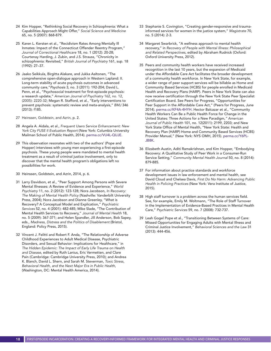- 24 Kim Hopper, "Rethinking Social Recovery in Schizophrenia: What a Capabilities Approach Might Offer," *Social Science and Medicine*  65, no. 5 (2007): 868-879.
- 25 Karen L. Kersten et al., "Recidivism Rates Among Mentally Ill Inmates: Impact of the Connecticut Offender Reentry Program," *Journal of Correctional Healthcare* 18, no. 1 (2012): 20-28; Courtenay Harding, J. Zubin, and J.S. Strauss, "Chronicity in schizophrenia: Revisited," *British Journal of Psychiatry* 161, sup. 18 (1992): 27–37.
- 26 Jaako Seikkula, Birgitta Alakare, and Jukka Aaltonen, "The comprehensive open-dialogue approach in Western Lapland: II. Long-term stability of acute psychosis outcomes in advanced community care,"Psychosis 3, no. 3 (2011): 192-204; David L. Penn, et al., "Psychosocial treatment for first-episode psychosis: a research update," *American Journal of Psychiatry* 162, no. 12, (2005): 2220-32; Megan R. Stafford, et al., "Early interventions to prevent psychosis: systematic review and meta-analysis," *BMJ* 346 (2013): f185.
- 27 Heinssen, Goldstein, and Azrin, p. 2.
- 28 Angela A. Aidala, et al., *Frequent Users Service Enhancement: New York City FUSE II Evaluation Report* (New York: Columbia University Mailman School of Public Health, 2014). [perma.cc/VU4L-QUJE](http://perma.cc/VU4L-QUJE).
- 29 This observation resonates with two of the authors' (Pope and Hopper) interviews with young men experiencing a first-episode psychosis. These young people were mandated to mental health treatment as a result of criminal justice involvement, only to discover that the mental health program's obligations left no possibilities for work.
- 30 Heinssen, Goldstein, and Azrin, 2014, p. 6.
- 31 Larry Davidson, et al., "Peer Support Among Persons with Severe Mental Illnesses: A Review of Evidence and Experience," *World Psychiatry* 11, no. 2 (2012): 123-128; Nora Jacobson, *In Recovery: The Making of Mental Health Policy* (Nashville: Vanderbilt University Press, 2004); Nora Jacobson and Dianne Greenley, "What is Recovery? A Conceptual Model and Explication," *Psychiatric Services* 52, no. 4 (2001): 482-485; Mike Slade, "The Contribution of Mental Health Services to Recovery," *Journal of Mental Health* 18, no. 5 (2009): 367-371; and Helen Spandler, Jill Anderson, Bob Sapey, eds., *Madness, Distress and the Politics of Disablement* (Bristol, England: Policy Press, 2015).
- 32 Vincent J. Felitti and Robert F. Anda, "The Relationship of Adverse Childhood Experiences to Adult Medical Disease, Psychiatric Disorders, and Sexual Behavior: Implications for Healthcare," in *The Hidden Epidemic: The Impact of Early Life Trauma on Health and Disease*, edited by Ruth Lanius, Eric Vermetten, and Clare Pain (Cambridge: Cambridge University Press, 2010); and Andrea K. Blanch, David L. Shern, and Sarah M. Steverman, *Toxic Stress, Behavioral Health, and the Next Major Era in Public Health*, (Washington, DC: Mental Health America, 2014).
- 33 Stephanie S. Covington, "Creating gender-responsive and traumainformed services for women in the justice system," *Magistrate* 70, no. 5 (2014): 2-3.
- 34 Margaret Swarbrick, "A wellness approach to mental health recovery," in *Recovery of People with Mental Illness: Philosophical and Related Perspectives*, edited by Abraham Rudnick (Oxford: Oxford University Press, 2012).
- 35 Peers and community health workers have received increased recognition in the last 10 years, but the expansion of Medicaid under the Affordable Care Act facilitates the broader development of a community health workforce. In New York State, for example, a wider range of peer support services will be billable as Home and Community Based Services (HCBS) for people enrolled in Medicaid Health and Recovery Plans (HARP). Peers in New York State can also now receive certification through the New York State Peer Specialist Certification Board. See Peers for Progress, "Opportunities for Peer Support in the Affordable Care Act," (Peers for Progress, June 2014). [perma.cc/KF4A-4HYH.](http://perma.cc/KF4A-4HYH) Hector Balcazar et al., "Community Health Workers Can Be a Public Health Force for Change in the United States: Three Actions for a New Paradigm," *American Journal of Public Health* 101, no. 12(2011): 2199, 2203; and New York State Office of Mental Health, "New York State: Health and Recovery Plan (HARP) Home and Community Based Services (HCBS) Provider Manual," (New York: NYS OMH, 2015). [perma.cc/Y6PL-](http://perma.cc/Y6PL-JB8K)[JB8K](http://perma.cc/Y6PL-JB8K).
- 36 Elizabeth Austin, Aditi Ramakrishnan, and Kim Hopper, "Embodying Recovery: A Qualitative Study of Peer Work in a Consumer-Run Service Setting," *Community Mental Health Journal* 50, no. 8 (2014): 879-885.
- 37 For information about practice standards and workforce development issues in law enforcement and mental health, see David Cloud and Chelsea Davis, *First Do No Harm: Advancing Public Health in Policing Practices* (New York: Vera Institute of Justice, 2015).
- 38 High staff turnover is a problem across the human services field. See, for example, Emily M. Woltmann, "The Role of Staff Turnover in the Implementation of Evidence-Based Practices in Mental Health Care," *Psychiatric Services* 59, no. 7 (2008): 732-737.
- 39 Leah Gogel Pope et al., "Transitioning Between Systems of Care: Missed Opportunities for Engaging Adults with Mental Illness and Criminal Justice Involvement," *Behavioral Sciences and the Law* 31 (2013): 444-456.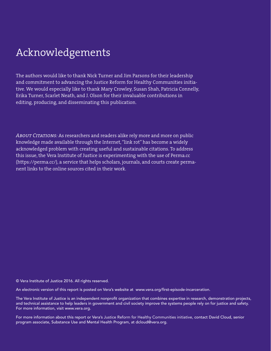# Acknowledgements

The authors would like to thank Nick Turner and Jim Parsons for their leadership and commitment to advancing the Justice Reform for Healthy Communities initiative. We would especially like to thank Mary Crowley, Susan Shah, Patricia Connelly, Erika Turner, Scarlet Neath, and J. Olson for their invaluable contributions in editing, producing, and disseminating this publication.

*About Citations:* As researchers and readers alike rely more and more on public knowledge made available through the Internet, "link rot" has become a widely acknowledged problem with creating useful and sustainable citations. To address this issue, the Vera Institute of Justice is experimenting with the use of Perma.cc (https:/[/perma.cc/](http://perma.cc/)), a service that helps scholars, journals, and courts create permanent links to the online sources cited in their work.

© Vera Institute of Justice 2016. All rights reserved.

An electronic version of this report is posted on Vera's website at www.vera.org/first-episode-incarceration.

The Vera Institute of Justice is an independent nonprofit organization that combines expertise in research, demonstration projects, and technical assistance to help leaders in government and civil society improve the systems people rely on for justice and safety. For more information, visit www.vera.org.

For more information about this report or Vera's Justice Reform for Healthy Communities initiative, contact David Cloud, senior program associate, Substance Use and Mental Health Program, at dcloud@vera.org.